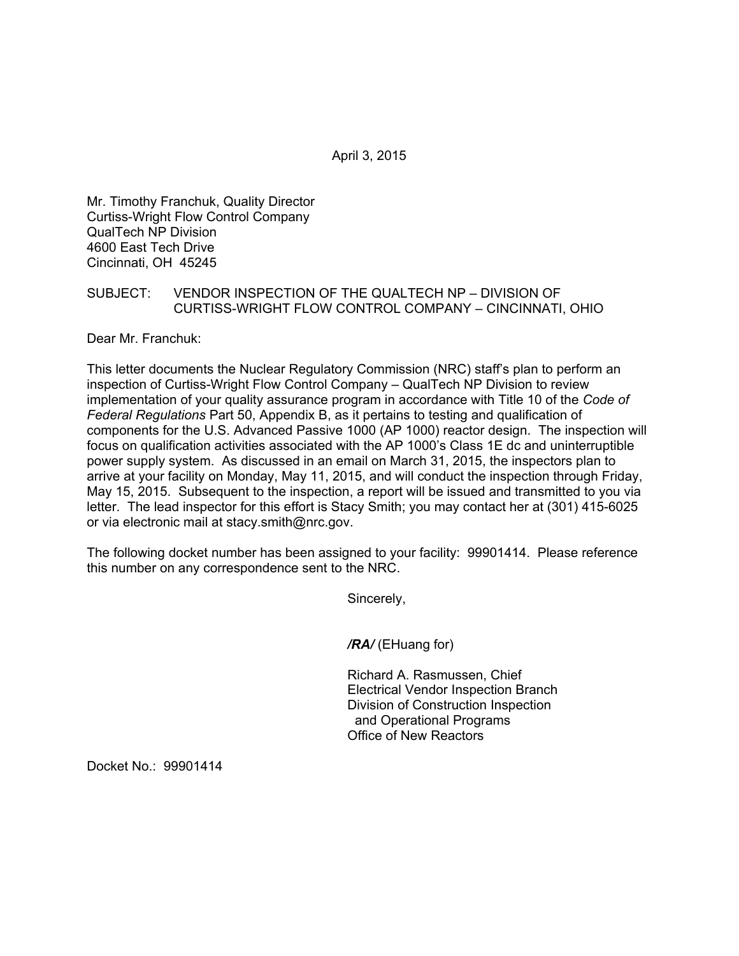April 3, 2015

Mr. Timothy Franchuk, Quality Director Curtiss-Wright Flow Control Company QualTech NP Division 4600 East Tech Drive Cincinnati, OH 45245

## SUBJECT: VENDOR INSPECTION OF THE QUALTECH NP – DIVISION OF CURTISS-WRIGHT FLOW CONTROL COMPANY – CINCINNATI, OHIO

Dear Mr. Franchuk:

This letter documents the Nuclear Regulatory Commission (NRC) staff's plan to perform an inspection of Curtiss-Wright Flow Control Company – QualTech NP Division to review implementation of your quality assurance program in accordance with Title 10 of the *Code of Federal Regulations* Part 50, Appendix B, as it pertains to testing and qualification of components for the U.S. Advanced Passive 1000 (AP 1000) reactor design. The inspection will focus on qualification activities associated with the AP 1000's Class 1E dc and uninterruptible power supply system. As discussed in an email on March 31, 2015, the inspectors plan to arrive at your facility on Monday, May 11, 2015, and will conduct the inspection through Friday, May 15, 2015. Subsequent to the inspection, a report will be issued and transmitted to you via letter. The lead inspector for this effort is Stacy Smith; you may contact her at (301) 415-6025 or via electronic mail at stacy.smith@nrc.gov.

The following docket number has been assigned to your facility: 99901414. Please reference this number on any correspondence sent to the NRC.

Sincerely,

*/RA/* (EHuang for)

Richard A. Rasmussen, Chief Electrical Vendor Inspection Branch Division of Construction Inspection and Operational Programs Office of New Reactors

Docket No.: 99901414